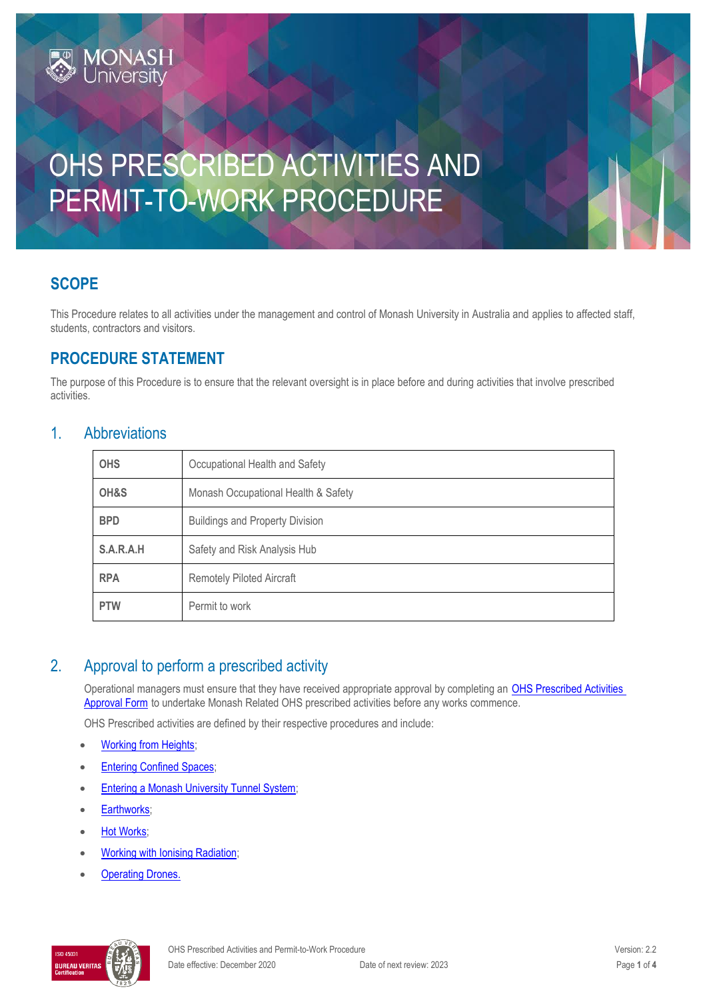# OHS PRESCRIBED ACTIVITIES AND PERMIT-TO-WORK PROCEDURE

# **SCOPE**

This Procedure relates to all activities under the management and control of Monash University in Australia and applies to affected staff, students, contractors and visitors.

# **PROCEDURE STATEMENT**

**MONASH**<br>University

The purpose of this Procedure is to ensure that the relevant oversight is in place before and during activities that involve prescribed activities.

#### 1. Abbreviations

| <b>OHS</b> | Occupational Health and Safety         |  |
|------------|----------------------------------------|--|
| OH&S       | Monash Occupational Health & Safety    |  |
| <b>BPD</b> | <b>Buildings and Property Division</b> |  |
| S.A.R.A.H  | Safety and Risk Analysis Hub           |  |
| <b>RPA</b> | <b>Remotely Piloted Aircraft</b>       |  |
| <b>PTW</b> | Permit to work                         |  |

# 2. Approval to perform a prescribed activity

Operational managers must ensure that they have received appropriate approval by completing an [OHS Prescribed Activities](https://forms.apps.monash.edu/frevvo/web/tn/monash.edu/u/3916c41d-b945-486a-aa56-3a1b2d38f492/app/_U8fbkKaIEeiCS-jJ9nTCoA/flowtype/_GN14YMaeEeipXY-P0bohrQ?_method=post&embed=true)  [Approval Form](https://forms.apps.monash.edu/frevvo/web/tn/monash.edu/u/3916c41d-b945-486a-aa56-3a1b2d38f492/app/_U8fbkKaIEeiCS-jJ9nTCoA/flowtype/_GN14YMaeEeipXY-P0bohrQ?_method=post&embed=true) to undertake Monash Related OHS prescribed activities before any works commence.

OHS Prescribed activities are defined by their respective procedures and include:

- [Working from Heights;](https://publicpolicydms.monash.edu/Monash/documents/1935641)
- **[Entering Confined Spaces;](https://publicpolicydms.monash.edu/Monash/documents/1935605)**
- [Entering a Monash University Tunnel System;](https://www.intranet.monash/bpd/for-bpd-staff/tunnel-access-management)
- [Earthworks;](https://publicpolicydms.monash.edu/Monash/documents/1935598)
- [Hot Works;](https://publicpolicydms.monash.edu/Monash/documents/1935614)
- [Working with Ionising Radiation;](https://publicpolicydms.monash.edu/Monash/documents/1935648)
- **[Operating Drones.](https://publicpolicydms.monash.edu/Monash/documents/1935609)**

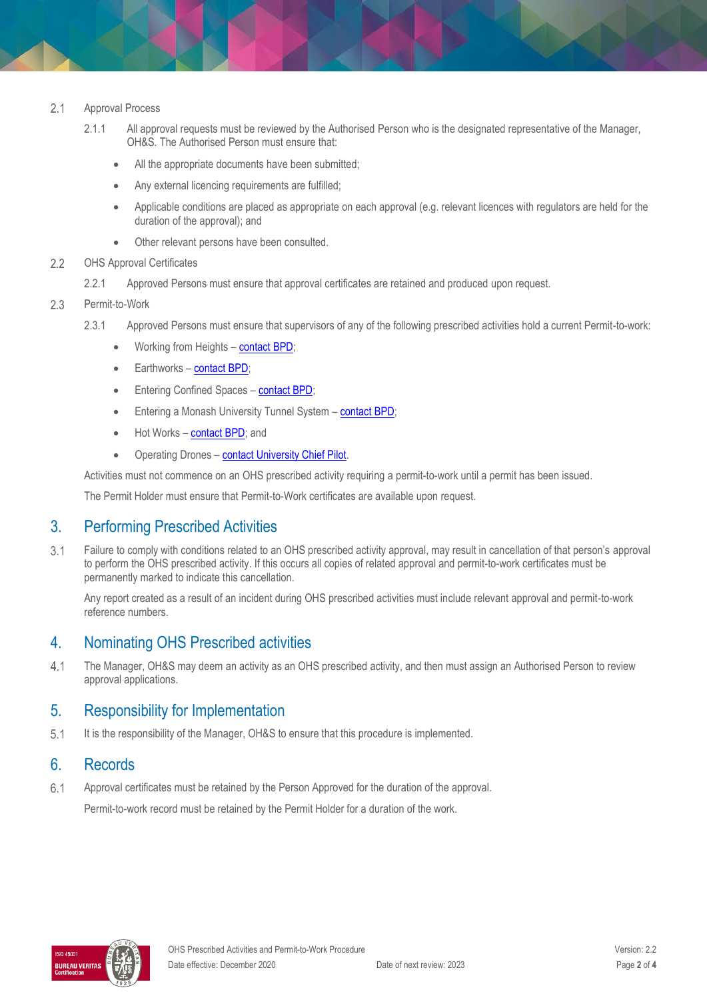#### $2.1$ Approval Process

- 2.1.1 All approval requests must be reviewed by the Authorised Person who is the designated representative of the Manager, OH&S. The Authorised Person must ensure that:
	- All the appropriate documents have been submitted;
	- Any external licencing requirements are fulfilled;
	- Applicable conditions are placed as appropriate on each approval (e.g. relevant licences with regulators are held for the duration of the approval); and
	- Other relevant persons have been consulted.

#### $2.2$ OHS Approval Certificates

- 2.2.1 Approved Persons must ensure that approval certificates are retained and produced upon request.
- $2.3$ Permit-to-Work
	- 2.3.1 Approved Persons must ensure that supervisors of any of the following prescribed activities hold a current Permit-to-work:
		- Working from Heights [contact BPD;](https://www.monash.edu/contractors/request-a-permit)
		- Earthworks [contact BPD;](https://www.monash.edu/contractors/request-a-permit)
		- Entering Confined Spaces [contact BPD;](https://www.monash.edu/contractors/request-a-permit)
		- Entering a Monash University Tunnel System [contact BPD;](https://www.monash.edu/contractors/request-a-permit)
		- Hot Works [contact BPD;](https://www.monash.edu/contractors/request-a-permit) and
		- Operating Drones [contact University Chief Pilot.](https://www.monash.edu/ohs/info-docs/remote-piloted-aircraft-drones)

Activities must not commence on an OHS prescribed activity requiring a permit-to-work until a permit has been issued.

The Permit Holder must ensure that Permit-to-Work certificates are available upon request.

## 3. Performing Prescribed Activities

 $3.1$ Failure to comply with conditions related to an OHS prescribed activity approval, may result in cancellation of that person's approval to perform the OHS prescribed activity. If this occurs all copies of related approval and permit-to-work certificates must be permanently marked to indicate this cancellation.

Any report created as a result of an incident during OHS prescribed activities must include relevant approval and permit-to-work reference numbers.

## 4. Nominating OHS Prescribed activities

 $4.1$ The Manager, OH&S may deem an activity as an OHS prescribed activity, and then must assign an Authorised Person to review approval applications.

## 5. Responsibility for Implementation

 $5.1$ It is the responsibility of the Manager, OH&S to ensure that this procedure is implemented.

# 6. Records

Approval certificates must be retained by the Person Approved for the duration of the approval.  $6.1$ 

Permit-to-work record must be retained by the Permit Holder for a duration of the work.

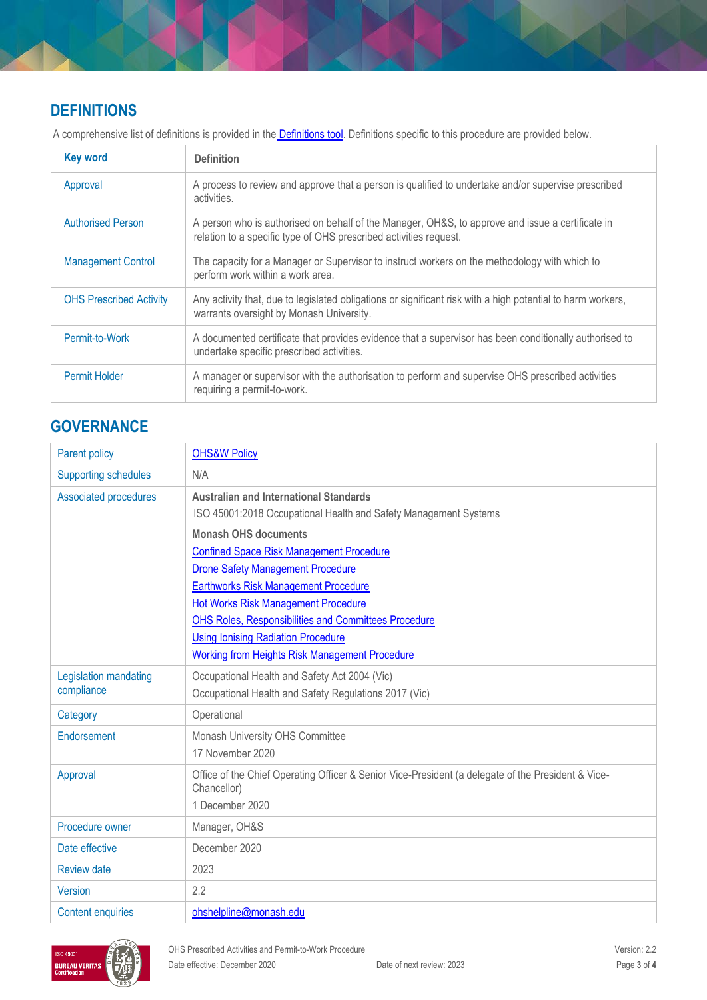# **DEFINITIONS**

A comprehensive list of definitions is provided in the **Definitions tool**. Definitions specific to this procedure are provided below.

| <b>Key word</b>                | <b>Definition</b>                                                                                                                                                     |
|--------------------------------|-----------------------------------------------------------------------------------------------------------------------------------------------------------------------|
| Approval                       | A process to review and approve that a person is qualified to undertake and/or supervise prescribed<br>activities.                                                    |
| <b>Authorised Person</b>       | A person who is authorised on behalf of the Manager, OH&S, to approve and issue a certificate in<br>relation to a specific type of OHS prescribed activities request. |
| <b>Management Control</b>      | The capacity for a Manager or Supervisor to instruct workers on the methodology with which to<br>perform work within a work area.                                     |
| <b>OHS Prescribed Activity</b> | Any activity that, due to legislated obligations or significant risk with a high potential to harm workers,<br>warrants oversight by Monash University.               |
| Permit-to-Work                 | A documented certificate that provides evidence that a supervisor has been conditionally authorised to<br>undertake specific prescribed activities.                   |
| Permit Holder                  | A manager or supervisor with the authorisation to perform and supervise OHS prescribed activities<br>requiring a permit-to-work.                                      |

# **GOVERNANCE**

| Parent policy                | <b>OHS&amp;W Policy</b>                                                                                           |  |
|------------------------------|-------------------------------------------------------------------------------------------------------------------|--|
| <b>Supporting schedules</b>  | N/A                                                                                                               |  |
| <b>Associated procedures</b> | <b>Australian and International Standards</b>                                                                     |  |
|                              | ISO 45001:2018 Occupational Health and Safety Management Systems                                                  |  |
|                              | <b>Monash OHS documents</b>                                                                                       |  |
|                              | <b>Confined Space Risk Management Procedure</b>                                                                   |  |
|                              | <b>Drone Safety Management Procedure</b>                                                                          |  |
|                              | <b>Earthworks Risk Management Procedure</b>                                                                       |  |
|                              | <b>Hot Works Risk Management Procedure</b>                                                                        |  |
|                              | OHS Roles, Responsibilities and Committees Procedure                                                              |  |
|                              | <b>Using Ionising Radiation Procedure</b>                                                                         |  |
|                              | Working from Heights Risk Management Procedure                                                                    |  |
| Legislation mandating        | Occupational Health and Safety Act 2004 (Vic)                                                                     |  |
| compliance                   | Occupational Health and Safety Regulations 2017 (Vic)                                                             |  |
| Category                     | Operational                                                                                                       |  |
| Endorsement                  | Monash University OHS Committee                                                                                   |  |
|                              | 17 November 2020                                                                                                  |  |
| Approval                     | Office of the Chief Operating Officer & Senior Vice-President (a delegate of the President & Vice-<br>Chancellor) |  |
|                              | 1 December 2020                                                                                                   |  |
| Procedure owner              | Manager, OH&S                                                                                                     |  |
| Date effective               | December 2020                                                                                                     |  |
| <b>Review date</b>           | 2023                                                                                                              |  |
| <b>Version</b>               | 2.2                                                                                                               |  |
| <b>Content enquiries</b>     | ohshelpline@monash.edu                                                                                            |  |